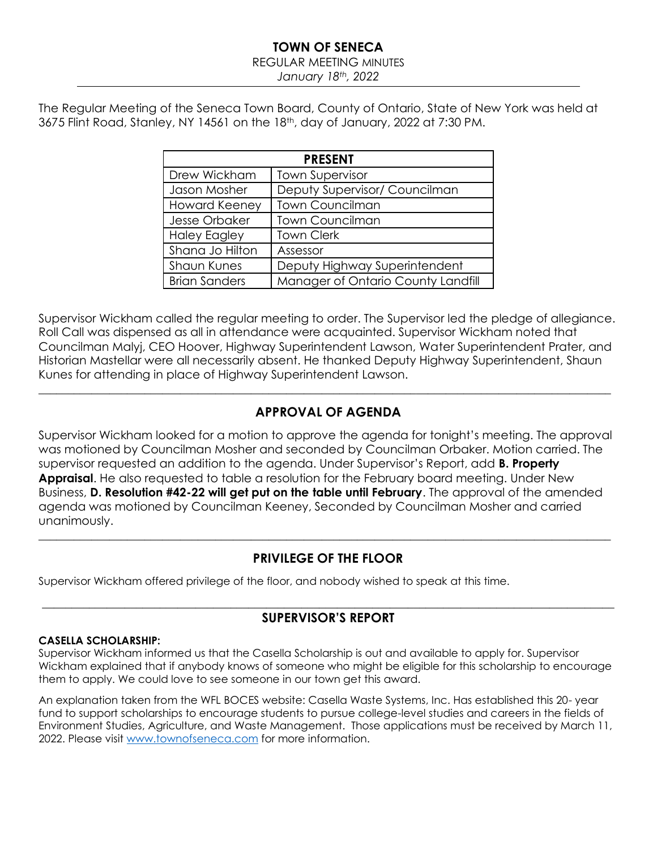## **TOWN OF SENECA**

### REGULAR MEETING MINUTES

*January 18th, 2022*

The Regular Meeting of the Seneca Town Board, County of Ontario, State of New York was held at 3675 Flint Road, Stanley, NY 14561 on the 18th, day of January, 2022 at 7:30 PM.

| <b>PRESENT</b>                                 |                                    |  |  |  |  |  |  |  |
|------------------------------------------------|------------------------------------|--|--|--|--|--|--|--|
| Drew Wickham                                   | <b>Town Supervisor</b>             |  |  |  |  |  |  |  |
| Deputy Supervisor/ Councilman<br>Jason Mosher  |                                    |  |  |  |  |  |  |  |
| <b>Town Councilman</b><br><b>Howard Keeney</b> |                                    |  |  |  |  |  |  |  |
| Jesse Orbaker                                  | <b>Town Councilman</b>             |  |  |  |  |  |  |  |
| <b>Haley Eagley</b>                            | <b>Town Clerk</b>                  |  |  |  |  |  |  |  |
| Shana Jo Hilton                                | Assessor                           |  |  |  |  |  |  |  |
| <b>Shaun Kunes</b>                             | Deputy Highway Superintendent      |  |  |  |  |  |  |  |
| <b>Brian Sanders</b>                           | Manager of Ontario County Landfill |  |  |  |  |  |  |  |

Supervisor Wickham called the regular meeting to order. The Supervisor led the pledge of allegiance. Roll Call was dispensed as all in attendance were acquainted. Supervisor Wickham noted that Councilman Malyj, CEO Hoover, Highway Superintendent Lawson, Water Superintendent Prater, and Historian Mastellar were all necessarily absent. He thanked Deputy Highway Superintendent, Shaun Kunes for attending in place of Highway Superintendent Lawson.

## **APPROVAL OF AGENDA**

 $\_$  , and the set of the set of the set of the set of the set of the set of the set of the set of the set of the set of the set of the set of the set of the set of the set of the set of the set of the set of the set of th

Supervisor Wickham looked for a motion to approve the agenda for tonight's meeting. The approval was motioned by Councilman Mosher and seconded by Councilman Orbaker. Motion carried. The supervisor requested an addition to the agenda. Under Supervisor's Report, add **B. Property Appraisal**. He also requested to table a resolution for the February board meeting. Under New Business, **D. Resolution #42-22 will get put on the table until February**. The approval of the amended agenda was motioned by Councilman Keeney, Seconded by Councilman Mosher and carried unanimously.

## **PRIVILEGE OF THE FLOOR**

 $\_$  , and the set of the set of the set of the set of the set of the set of the set of the set of the set of the set of the set of the set of the set of the set of the set of the set of the set of the set of the set of th

Supervisor Wickham offered privilege of the floor, and nobody wished to speak at this time.

## $\_$  , and the set of the set of the set of the set of the set of the set of the set of the set of the set of the set of the set of the set of the set of the set of the set of the set of the set of the set of the set of th **SUPERVISOR'S REPORT**

## **CASELLA SCHOLARSHIP:**

Supervisor Wickham informed us that the Casella Scholarship is out and available to apply for. Supervisor Wickham explained that if anybody knows of someone who might be eligible for this scholarship to encourage them to apply. We could love to see someone in our town get this award.

An explanation taken from the WFL BOCES website: Casella Waste Systems, Inc. Has established this 20- year fund to support scholarships to encourage students to pursue college-level studies and careers in the fields of Environment Studies, Agriculture, and Waste Management. Those applications must be received by March 11, 2022. Please visi[t www.townofseneca.com](http://www.townofseneca.com/) for more information.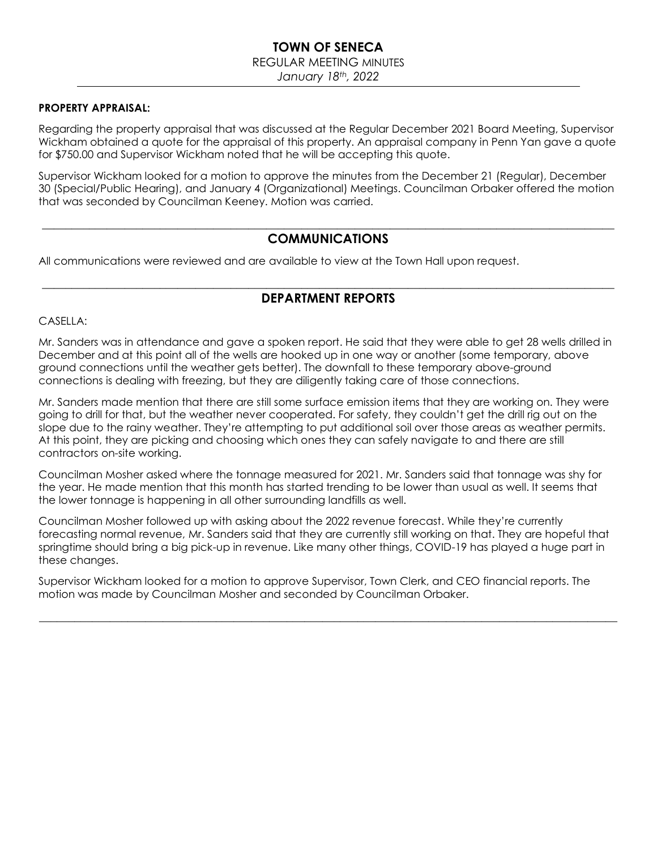# **TOWN OF SENECA**

## REGULAR MEETING MINUTES

*January 18th, 2022*

#### **PROPERTY APPRAISAL:**

Regarding the property appraisal that was discussed at the Regular December 2021 Board Meeting, Supervisor Wickham obtained a quote for the appraisal of this property. An appraisal company in Penn Yan gave a quote for \$750.00 and Supervisor Wickham noted that he will be accepting this quote.

Supervisor Wickham looked for a motion to approve the minutes from the December 21 (Regular), December 30 (Special/Public Hearing), and January 4 (Organizational) Meetings. Councilman Orbaker offered the motion that was seconded by Councilman Keeney. Motion was carried.

## $\_$  , and the set of the set of the set of the set of the set of the set of the set of the set of the set of the set of the set of the set of the set of the set of the set of the set of the set of the set of the set of th **COMMUNICATIONS**

All communications were reviewed and are available to view at the Town Hall upon request.

## $\_$  , and the set of the set of the set of the set of the set of the set of the set of the set of the set of the set of the set of the set of the set of the set of the set of the set of the set of the set of the set of th **DEPARTMENT REPORTS**

#### CASELLA:

Mr. Sanders was in attendance and gave a spoken report. He said that they were able to get 28 wells drilled in December and at this point all of the wells are hooked up in one way or another (some temporary, above ground connections until the weather gets better). The downfall to these temporary above-ground connections is dealing with freezing, but they are diligently taking care of those connections.

Mr. Sanders made mention that there are still some surface emission items that they are working on. They were going to drill for that, but the weather never cooperated. For safety, they couldn't get the drill rig out on the slope due to the rainy weather. They're attempting to put additional soil over those areas as weather permits. At this point, they are picking and choosing which ones they can safely navigate to and there are still contractors on-site working.

Councilman Mosher asked where the tonnage measured for 2021. Mr. Sanders said that tonnage was shy for the year. He made mention that this month has started trending to be lower than usual as well. It seems that the lower tonnage is happening in all other surrounding landfills as well.

Councilman Mosher followed up with asking about the 2022 revenue forecast. While they're currently forecasting normal revenue, Mr. Sanders said that they are currently still working on that. They are hopeful that springtime should bring a big pick-up in revenue. Like many other things, COVID-19 has played a huge part in these changes.

 $\_$  , and the set of the set of the set of the set of the set of the set of the set of the set of the set of the set of the set of the set of the set of the set of the set of the set of the set of the set of the set of th

Supervisor Wickham looked for a motion to approve Supervisor, Town Clerk, and CEO financial reports. The motion was made by Councilman Mosher and seconded by Councilman Orbaker.